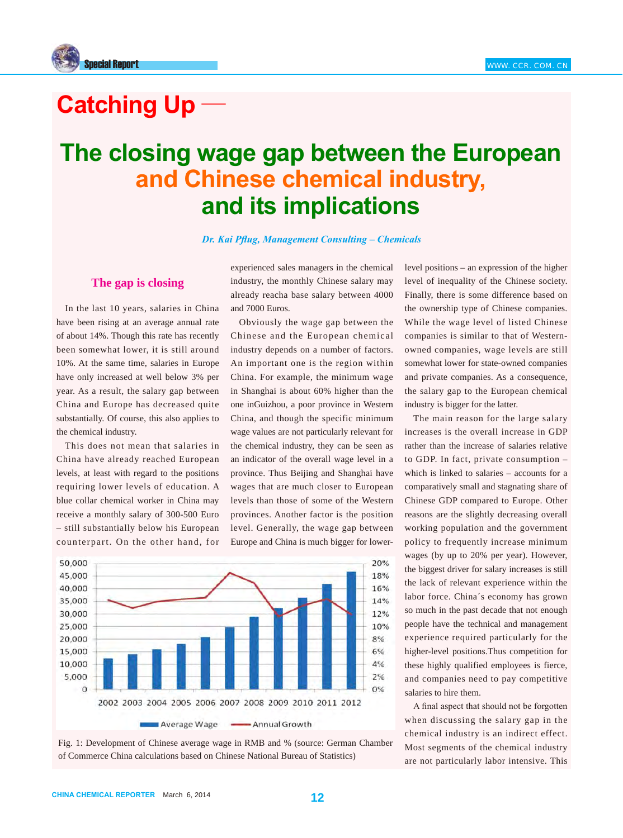

# **Catching Up**

## **The closing wage gap between the European** and Chinese chemical industry, and its implications

*Dr. Kai Pflug, Management Consulting – Chemicals* 

## **The gap is closing**

In the last 10 years, salaries in China have been rising at an average annual rate of about 14%. Though this rate has recently been somewhat lower, it is still around 10%. At the same time, salaries in Europe have only increased at well below 3% per year. As a result, the salary gap between China and Europe has decreased quite substantially. Of course, this also applies to the chemical industry.

This does not mean that salaries in China have already reached European levels, at least with regard to the positions requiring lower levels of education. A blue collar chemical worker in China may receive a monthly salary of 300-500 Euro – still substantially below his European counterpart. On the other hand, for

experienced sales managers in the chemical industry, the monthly Chinese salary may already reacha base salary between 4000 and 7000 Euros.

Obviously the wage gap between the Chinese and the European chemical industry depends on a number of factors. An important one is the region within China. For example, the minimum wage in Shanghai is about 60% higher than the one inGuizhou, a poor province in Western China, and though the specific minimum wage values are not particularly relevant for the chemical industry, they can be seen as an indicator of the overall wage level in a province. Thus Beijing and Shanghai have wages that are much closer to European levels than those of some of the Western provinces. Another factor is the position level. Generally, the wage gap between Europe and China is much bigger for lower-





level positions – an expression of the higher level of inequality of the Chinese society. Finally, there is some difference based on the ownership type of Chinese companies. While the wage level of listed Chinese companies is similar to that of Westernowned companies, wage levels are still somewhat lower for state-owned companies and private companies. As a consequence, the salary gap to the European chemical industry is bigger for the latter.

The main reason for the large salary increases is the overall increase in GDP rather than the increase of salaries relative to GDP. In fact, private consumption – which is linked to salaries – accounts for a comparatively small and stagnating share of Chinese GDP compared to Europe. Other reasons are the slightly decreasing overall working population and the government policy to frequently increase minimum wages (by up to 20% per year). However, the biggest driver for salary increases is still the lack of relevant experience within the labor force. China´s economy has grown so much in the past decade that not enough people have the technical and management experience required particularly for the higher-level positions.Thus competition for these highly qualified employees is fierce, and companies need to pay competitive salaries to hire them.

A final aspect that should not be forgotten when discussing the salary gap in the chemical industry is an indirect effect. Most segments of the chemical industry are not particularly labor intensive. This